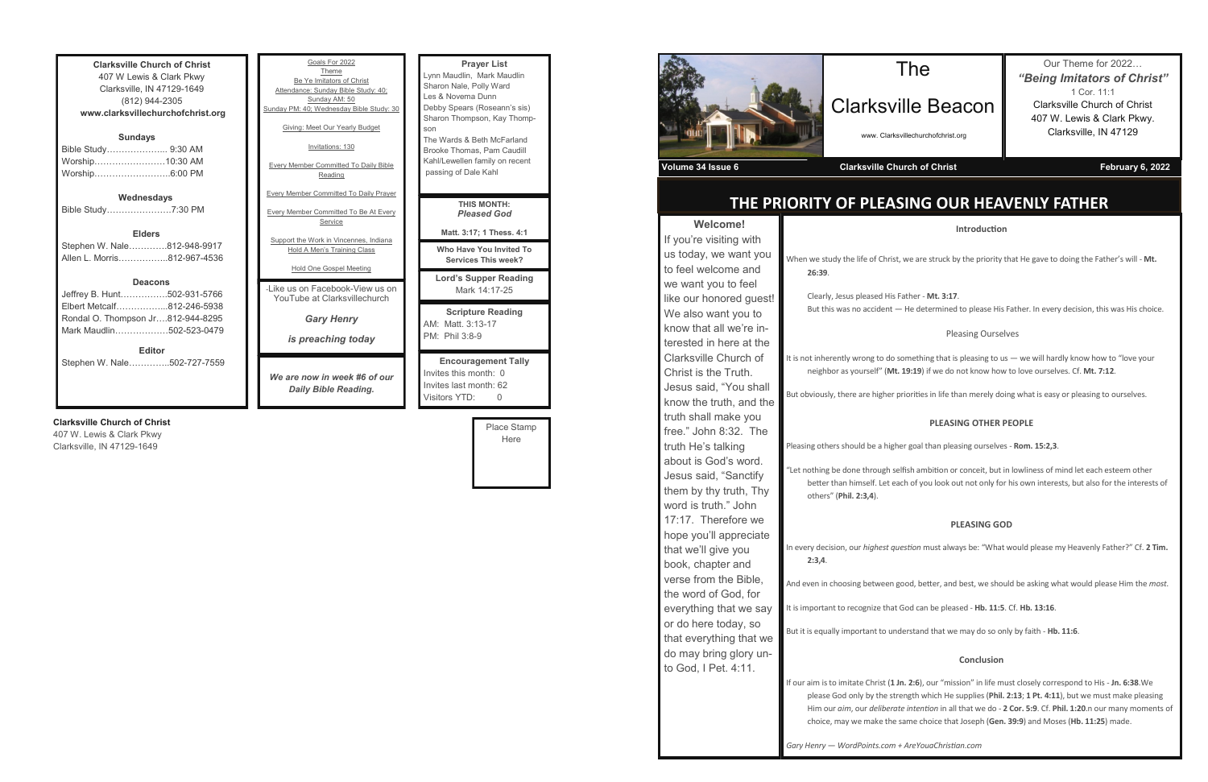**Clarksville Church of Christ** 407 W Lewis & Clark Pkwy Clarksville, IN 47129-1649 (812) 944-2305 **www.clarksvillechurchofchrist.org Sundays** Bible Study………………... 9:30 AM Worship……………………10:30 AM Worship……………………..6:00 PM **Wednesdays** Bible Study………………….7:30 PM

**Elders** Stephen W. Nale………….812-948-9917 Allen L. Morris……………..812-967-4536

#### **Deacons**

| <b>Editor</b>                     |  |
|-----------------------------------|--|
| Mark Maudlin502-523-0479          |  |
| Rondal O. Thompson Jr812-944-8295 |  |
| Elbert Metcalf812-246-5938        |  |
| Jeffrey B. Hunt502-931-5766       |  |

Stephen W. Nale…………..502-727-7559

## **Clarksville Church of Christ**

407 W. Lewis & Clark Pkwy Clarksville, IN 47129-1649

| Goals For 2022                                      | <b>Prayer List</b>                                                            |
|-----------------------------------------------------|-------------------------------------------------------------------------------|
| Theme                                               | Lynn Maudlin, Mark Maudlin                                                    |
| Be Ye Imitators of Christ                           | Sharon Nale, Polly Ward                                                       |
| Attendance: Sunday Bible Study: 40;                 | Les & Novema Dunn                                                             |
| Sunday AM: 50                                       | Debby Spears (Roseann's sis)                                                  |
| Sunday PM: 40; Wednesday Bible Study: 30            | Sharon Thompson, Kay Thomp-                                                   |
| Giving: Meet Our Yearly Budget                      | son                                                                           |
| Invitations: 130                                    | The Wards & Beth McFarland                                                    |
| <b>Every Member Committed To Daily Bible</b>        | Brooke Thomas, Pam Caudill                                                    |
| Reading                                             | Kahl/Lewellen family on recent                                                |
| <b>Every Member Committed To Daily Prayer</b>       | passing of Dale Kahl                                                          |
| Every Member Committed To Be At Every               | <b>THIS MONTH:</b>                                                            |
| Service                                             | <b>Pleased God</b>                                                            |
| Support the Work in Vincennes, Indiana              | Matt. 3:17; 1 Thess. 4:1                                                      |
| Hold A Men's Training Class                         | Who Have You Invited To                                                       |
| Hold One Gospel Meeting                             | <b>Services This week?</b>                                                    |
| -I ike us on Facebook-View us on                    | <b>Lord's Supper Reading</b>                                                  |
| YouTube at Clarksvillechurch                        | Mark 14:17-25                                                                 |
| <b>Gary Henry</b><br>is preaching today             | <b>Scripture Reading</b><br>AM: Matt. 3:13-17<br>PM: Phil 3:8-9               |
| We are now in week #6 of our<br>Daily Dible Deading | <b>Encouragement Tally</b><br>Invites this month: 0<br>Invites last month: 62 |

*Daily Bible Reading.*

Place Stamp Here

Visitors YTD: 0



## **THE PRIORITY OF PLEASING OUR HEAVENLY FATHER**

#### **Introduction**

st, we are struck by the priority that He gave to doing the Father's will - Mt.

**Father - Mt. 3:17.** - He determined to please His Father. In every decision, this was His choice.

| <b>Welcome!</b>         |                                                      |
|-------------------------|------------------------------------------------------|
| If you're visiting with |                                                      |
| us today, we want you   | When we study the life of Chris                      |
| to feel welcome and     | 26:39.                                               |
| we want you to feel     |                                                      |
| like our honored guest! | Clearly, Jesus pleased His                           |
| We also want you to     | But this was no accident                             |
| know that all we're in- |                                                      |
| terested in here at the |                                                      |
| Clarksville Church of   | It is not inherently wrong to do                     |
| Christ is the Truth.    | neighbor as yourself" (Mt                            |
| Jesus said, "You shall  | But obviously, there are higher                      |
| know the truth, and the |                                                      |
| truth shall make you    |                                                      |
| free." John 8:32. The   |                                                      |
| truth He's talking      | Pleasing others should be a high                     |
| about is God's word.    | "Let nothing be done through s                       |
| Jesus said, "Sanctify   | better than himself. Let e                           |
| them by thy truth, Thy  | others" (Phil. 2:3,4).                               |
| word is truth." John    |                                                      |
| 17:17. Therefore we     |                                                      |
| hope you'll appreciate  |                                                      |
| that we'll give you     | In every decision, our highest q                     |
| book, chapter and       | 2:3,4.                                               |
| verse from the Bible,   | And even in choosing between                         |
| the word of God, for    |                                                      |
| everything that we say  | It is important to recognize that                    |
| or do here today, so    | But it is equally important to ur                    |
| that everything that we |                                                      |
| do may bring glory un-  |                                                      |
| to God, I Pet. 4:11.    |                                                      |
|                         | If our aim is to imitate Christ (1                   |
|                         | please God only by the st                            |
|                         | Him our aim, our deliberd<br>choice, may we make the |
|                         |                                                      |
|                         | Gary Henry - WordPoints.com                          |

#### Pleasing Ourselves

It something that is pleasing to us  $-$  we will hardly know how to "love your It. 19:19) if we do not know how to love ourselves. Cf. Mt. 7:12.

r priorities in life than merely doing what is easy or pleasing to ourselves.

#### **PLEASING OTHER PEOPLE**

her goal than pleasing ourselves - **Rom. 15:2,3**.

selfish ambition or conceit, but in lowliness of mind let each esteem other each of you look out not only for his own interests, but also for the interests of

### **PLEASING GOD**

Iuestion must always be: "What would please my Heavenly Father?" Cf. 2 Tim.

I good, better, and best, we should be asking what would please Him the *most*.

**If God can be pleased - Hb. 11:5. Cf. Hb. 13:16.** 

Author it is it is inderstand that we may do so only by faith - **Hb. 11:6**.

#### **Conclusion**

1 Jn. 2:6), our "mission" in life must closely correspond to His - Jn. 6:38.We trength which He supplies (Phil. 2:13; 1 Pt. 4:11), but we must make pleasing rate intention in all that we do - 2 Cor. 5:9. Cf. Phil. 1:20.n our many moments of same choice that Joseph (Gen. 39:9) and Moses (Hb. 11:25) made.

*Gary Henry — WordPoints.com + AreYouaChristian.com*

## The

# Clarksville Beacon

www. Clarksvillechurchofchrist.org

Our Theme for 2022… *"Being Imitators of Christ"* 1 Cor. 11:1 Clarksville Church of Christ 407 W. Lewis & Clark Pkwy. Clarksville, IN 47129

**Volume 34 Issue 6 Clarksville Church of Christ February 6, 2022**